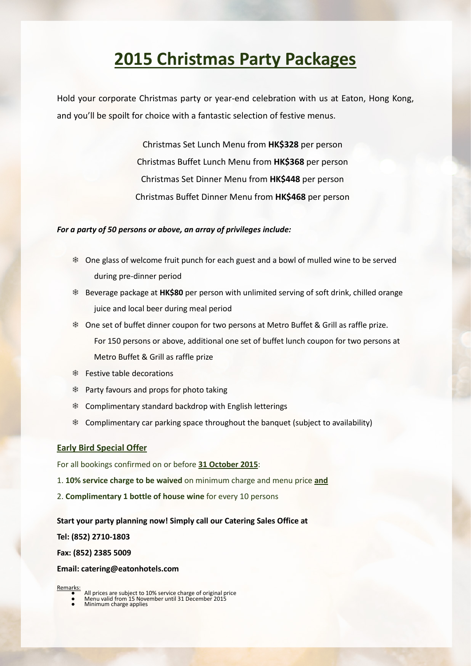# **2015 Christmas Party Packages**

Hold your corporate Christmas party or year-end celebration with us at Eaton, Hong Kong, and you'll be spoilt for choice with a fantastic selection of festive menus.

> Christmas Set Lunch Menu from **HK\$328** per person Christmas Buffet Lunch Menu from **HK\$368** per person Christmas Set Dinner Menu from **HK\$448** per person Christmas Buffet Dinner Menu from **HK\$468** per person

#### *For a party of 50 persons or above, an array of privileges include:*

- ❄ One glass of welcome fruit punch for each guest and a bowl of mulled wine to be served during pre-dinner period
- ❄ Beverage package at **HK\$80** per person with unlimited serving of soft drink, chilled orange juice and local beer during meal period
- ❄ One set of buffet dinner coupon for two persons at Metro Buffet & Grill as raffle prize. For 150 persons or above, additional one set of buffet lunch coupon for two persons at Metro Buffet & Grill as raffle prize
- ❄ Festive table decorations
- ❄ Party favours and props for photo taking
- ❄ Complimentary standard backdrop with English letterings
- ❄ Complimentary car parking space throughout the banquet (subject to availability)

#### **Early Bird Special Offer**

For all bookings confirmed on or before **31 October 2015**:

- 1. **10% service charge to be waived** on minimum charge and menu price **and**
- 2. **Complimentary 1 bottle of house wine** for every 10 persons

#### **Start your party planning now! Simply call our Catering Sales Office at**

**Tel: (852) 2710-1803**

**Fax: (852) 2385 5009**

#### **Email[: catering@eatonhotels.com](mailto:catering@eatonhotels.com)**

- Remarks: All prices are subject to 10% service charge of original price<br>● Menu valid from 15 November until 31 December 2015<br>● Minimum charge applies
	-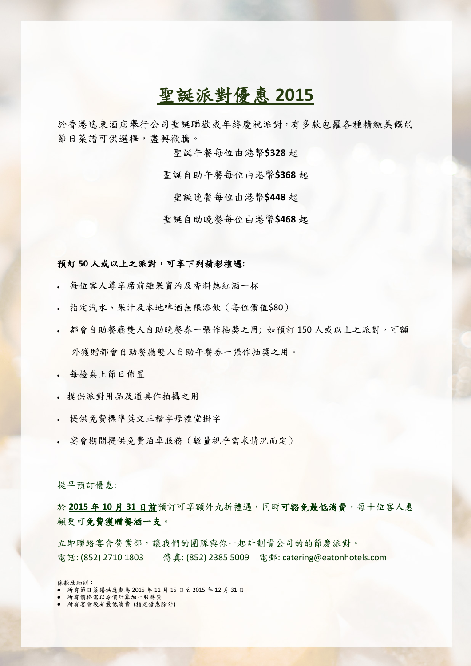# 聖誕派對優惠 **2015**

於香港逸東酒店舉行公司聖誕聯歡或年終慶祝派對,有多款包羅各種精緻美饌的 節日菜譜可供選擇,盡興歡騰。

聖誕午餐每位由港幣**\$328** 起

聖誕自助午餐每位由港幣**\$368** 起

聖誕晚餐每位由港幣**\$448** 起

聖誕自助晚餐每位由港幣**\$468** 起

#### 預訂 **50** 人或以上之派對,可享下列精彩禮遇**:**

- 每位客人尊享席前雜果賓治及香料熱紅酒一杯
- 指定汽水、果汁及本地啤酒無限添飲(每位價值\$80)
- 都會自助餐廳雙人自助晚餐券一張作抽獎之用; 如預訂 150 人或以上之派對,可額 外獲贈都會自助餐廳雙人自助午餐券一張作抽獎之用。
- 每檯桌上節日佈置
- 提供派對用品及道具作拍攝之用
- 提供免費標準英文正楷字母禮堂掛字
- 宴會期間提供免費泊車服務(數量視乎需求情況而定)

#### 提早預訂優惠:

於 **2015** 年 **10** 月 **31** 日前預訂可享額外九折禮遇,同時可豁免最低消費,每十位客人惠 顧更可免費獲贈餐酒一支。

立即聯絡宴會營業部,讓我們的團隊與你一起計劃貴公司的的節慶派對。 電話: (852) 2710 1803 傳真: (852) 2385 5009 電郵: catering@eatonhotels.com

條款及細則:

- 所有節日菜譜供應期為 2015 年 11 月 15 日至 2015 年 12 月 31 日
- 所有價格需以原價計算加一服務費 ● 所有宴會設有最低消費 (指定優惠除外)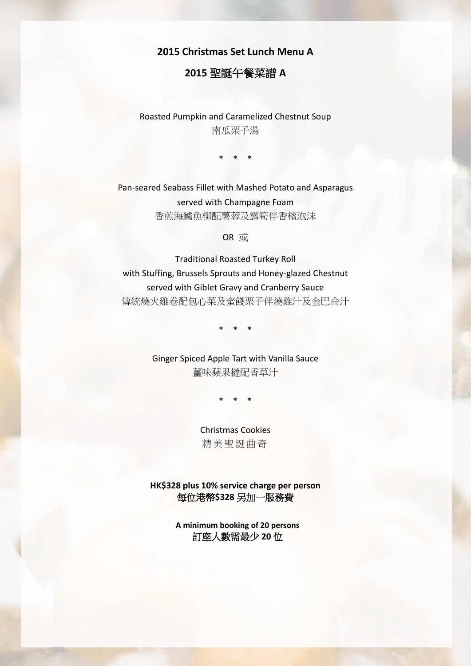# **2015 Christmas Set Lunch Menu A**

# **2015** 聖誕午餐菜譜 **A**

Roasted Pumpkin and Caramelized Chestnut Soup 南瓜栗子湯

\* \* \*

Pan-seared Seabass Fillet with Mashed Potato and Asparagus served with Champagne Foam 香煎海鱸魚柳配薯蓉及露筍伴香檳泡沫

OR 或

Traditional Roasted Turkey Roll with Stuffing, Brussels Sprouts and Honey-glazed Chestnut served with Giblet Gravy and Cranberry Sauce 傳統燒火雞卷配包心菜及蜜餞栗子伴燒雞汁及金巴侖汁

\* \* \*

Ginger Spiced Apple Tart with Vanilla Sauce 薑味蘋果撻配香草汁

\* \* \*

Christmas Cookies 精美聖誔曲奇

**HK\$328 plus 10% service charge per person** 每位港幣**\$328** 另加一服務費

> **A minimum booking of 20 persons** 訂座人數需最少 **20** 位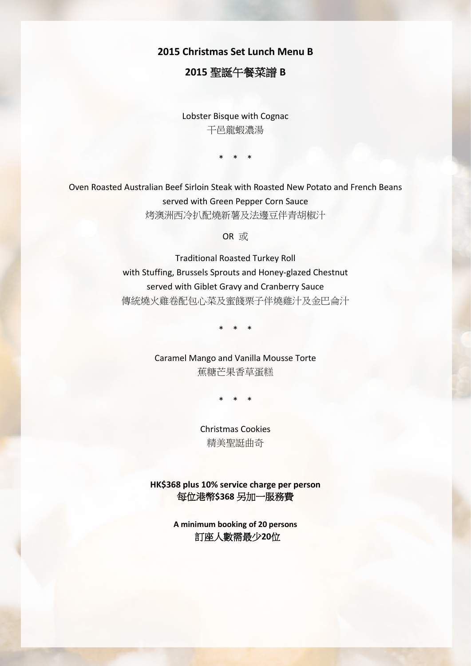**2015 Christmas Set Lunch Menu B**

# **2015** 聖誕午餐菜譜 **B**

Lobster Bisque with Cognac 干邑龍蝦濃湯

\* \* \*

Oven Roasted Australian Beef Sirloin Steak with Roasted New Potato and French Beans served with Green Pepper Corn Sauce 烤澳洲西冷扒配燒新薯及法邊豆伴青胡椒汁

OR 或

Traditional Roasted Turkey Roll with Stuffing, Brussels Sprouts and Honey-glazed Chestnut served with Giblet Gravy and Cranberry Sauce 傳統燒火雞卷配包心菜及蜜餞栗子伴燒雞汁及金巴侖汁

\* \* \*

Caramel Mango and Vanilla Mousse Torte 蕉糖芒果香草蛋糕

\* \* \*

Christmas Cookies 精美聖誔曲奇

**HK\$368 plus 10% service charge per person** 每位港幣**\$368** 另加一服務費

> **A minimum booking of 20 persons** 訂座人數需最少**20**位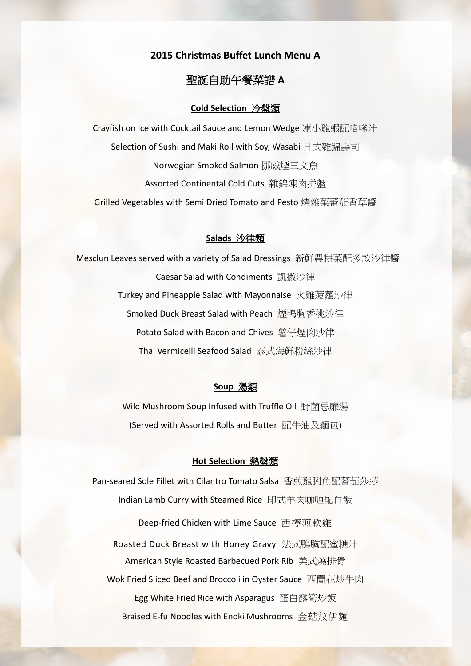# **2015 Christmas Buffet Lunch Menu A**

# 聖誕自助午餐菜譜 **A**

### **Cold Selection** 冷盤類

Crayfish on Ice with Cocktail Sauce and Lemon Wedge 凍小龍蝦配咯嗲汁 Selection of Sushi and Maki Roll with Soy, Wasabi 日式雜錦壽司 Norwegian Smoked Salmon 挪威煙三文魚 Assorted Continental Cold Cuts 雜錦凍肉拼盤 Grilled Vegetables with Semi Dried Tomato and Pesto 烤雜菜蕃茄香草醬

### **Salads** 沙律類

Mesclun Leaves served with a variety of Salad Dressings 新鮮農耕菜配多款沙律醬 Caesar Salad with Condiments 凱撒沙律 Turkey and Pineapple Salad with Mayonnaise 火雞菠蘿沙律 Smoked Duck Breast Salad with Peach 煙鴨胸香桃沙律 Potato Salad with Bacon and Chives 薯仔煙肉沙律 Thai Vermicelli Seafood Salad 泰式海鮮粉絲沙律

# **Soup** 湯類

Wild Mushroom Soup Infused with Truffle Oil 野菌忌廉湯 (Served with Assorted Rolls and Butter 配牛油及麵包)

#### **Hot Selection** 熱盤類

Pan-seared Sole Fillet with Cilantro Tomato Salsa 香煎龍脷魚配蕃茄莎莎 Indian Lamb Curry with Steamed Rice 印式羊肉咖喱配白飯 Deep-fried Chicken with Lime Sauce 西檸煎軟雞 Roasted Duck Breast with Honey Gravy 法式鴨胸配蜜糖汁 American Style Roasted Barbecued Pork Rib 美式燒排骨 Wok Fried Sliced Beef and Broccoli in Oyster Sauce 西蘭花炒牛肉 Egg White Fried Rice with Asparagus 蛋白露筍炒飯 Braised E-fu Noodles with Enoki Mushrooms 金菇炆伊麵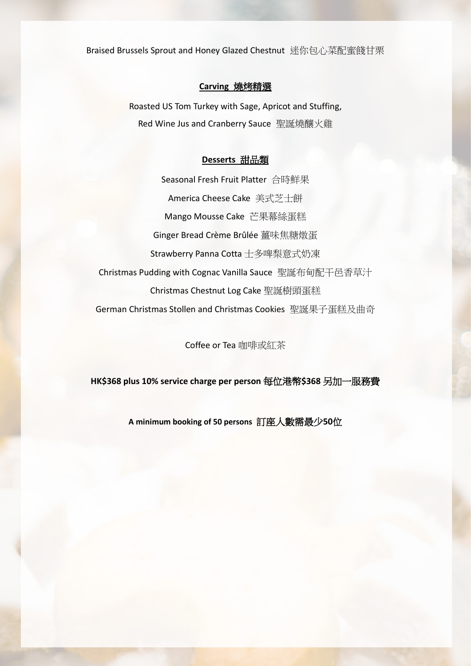Braised Brussels Sprout and Honey Glazed Chestnut 迷你包心菜配蜜餞甘栗

# **Carving** 燒烤精選

Roasted US Tom Turkey with Sage, Apricot and Stuffing, Red Wine Jus and Cranberry Sauce 聖誕燒釀火雞

#### **Desserts** 甜品類

Seasonal Fresh Fruit Platter 合時鮮果 America Cheese Cake 美式芝士餅 Mango Mousse Cake 芒果幕絲蛋糕 Ginger Bread Crème Brûlée 薑味焦糖燉蛋 Strawberry Panna Cotta 士多啤梨意式奶凍 Christmas Pudding with Cognac Vanilla Sauce 聖誕布甸配干邑香草汁 Christmas Chestnut Log Cake 聖誕樹頭蛋糕 German Christmas Stollen and Christmas Cookies 聖誕果子蛋糕及曲奇

Coffee or Tea 咖啡或紅茶

**HK\$368 plus 10% service charge per person** 每位港幣**\$368** 另加一服務費

**A minimum booking of 50 persons** 訂座人數需最少**50**位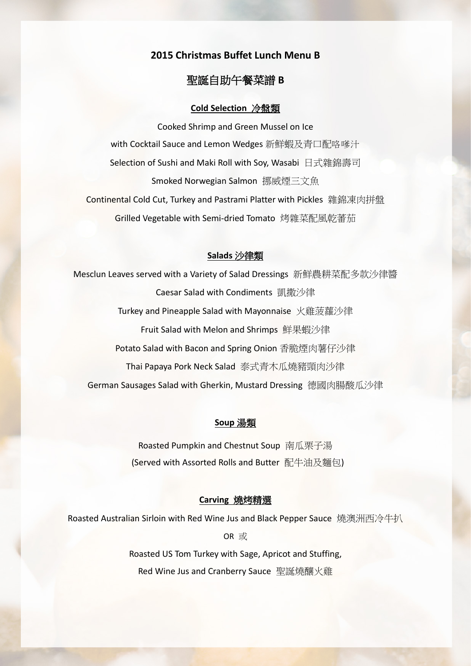# **2015 Christmas Buffet Lunch Menu B**

# 聖誕自助午餐菜譜 **B**

#### **Cold Selection** 冷盤類

Cooked Shrimp and Green Mussel on Ice with Cocktail Sauce and Lemon Wedges 新鮮蝦及青口配咯嗲汁 Selection of Sushi and Maki Roll with Soy, Wasabi 日式雜錦壽司 Smoked Norwegian Salmon 挪威煙三文魚 Continental Cold Cut, Turkey and Pastrami Platter with Pickles 雜錦凍肉拼盤 Grilled Vegetable with Semi-dried Tomato 烤雜菜配風乾蕃茄

# **Salads** 沙律類

Mesclun Leaves served with a Variety of Salad Dressings 新鮮農耕菜配多款沙律醬 Caesar Salad with Condiments 凱撒沙律 Turkey and Pineapple Salad with Mayonnaise 火雞菠蘿沙律 Fruit Salad with Melon and Shrimps 鮮果蝦沙律 Potato Salad with Bacon and Spring Onion 香脆煙肉薯仔沙律 Thai Papaya Pork Neck Salad 泰式青木瓜燒豬頸肉沙律 German Sausages Salad with Gherkin, Mustard Dressing 德國肉腸酸瓜沙律

# **Soup** 湯類

Roasted Pumpkin and Chestnut Soup 南瓜栗子湯 (Served with Assorted Rolls and Butter 配牛油及麵包)

#### **Carving** 燒烤精選

Roasted Australian Sirloin with Red Wine Jus and Black Pepper Sauce 燒澳洲西冷牛扒

OR 或

Roasted US Tom Turkey with Sage, Apricot and Stuffing, Red Wine Jus and Cranberry Sauce 聖誕燒釀火雞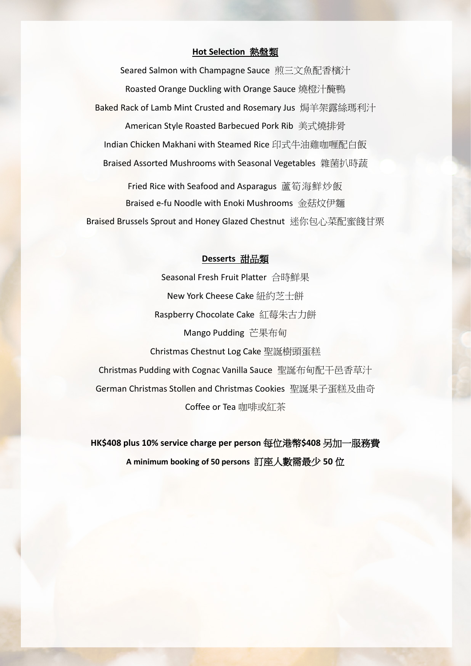# **Hot Selection** 熱盤類

Seared Salmon with Champagne Sauce 煎三文魚配香檳汁 Roasted Orange Duckling with Orange Sauce 燒橙汁醃鴨 Baked Rack of Lamb Mint Crusted and Rosemary Jus 焗羊架露絲瑪利汁 American Style Roasted Barbecued Pork Rib 美式燒排骨 Indian Chicken Makhani with Steamed Rice 印式牛油雞咖喱配白飯 Braised Assorted Mushrooms with Seasonal Vegetables 雜菌扒時蔬

Fried Rice with Seafood and Asparagus 蘆筍海鮮炒飯 Braised e-fu Noodle with Enoki Mushrooms 金菇炆伊麵 Braised Brussels Sprout and Honey Glazed Chestnut 迷你包心菜配蜜餞甘栗

### **Desserts** 甜品類

Seasonal Fresh Fruit Platter 合時鮮果 New York Cheese Cake 紐約芝士餅 Raspberry Chocolate Cake 紅莓朱古力餅 Mango Pudding 芒果布甸 Christmas Chestnut Log Cake 聖誕樹頭蛋糕 Christmas Pudding with Cognac Vanilla Sauce 聖誕布甸配干邑香草汁 German Christmas Stollen and Christmas Cookies 聖誕果子蛋糕及曲奇 Coffee or Tea 咖啡或紅茶

**HK\$408 plus 10% service charge per person** 每位港幣**\$408** 另加一服務費 **A minimum booking of 50 persons** 訂座人數需最少 **50** 位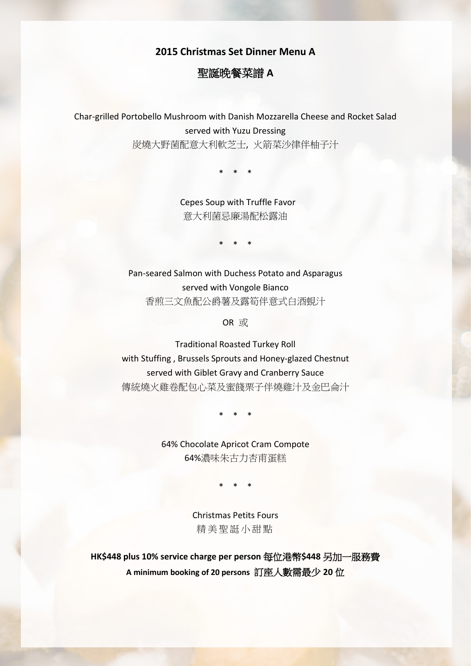**2015 Christmas Set Dinner Menu A**

# 聖誕晚餐菜譜 **A**

Char-grilled Portobello Mushroom with Danish Mozzarella Cheese and Rocket Salad served with Yuzu Dressing 炭燒大野菌配意大利軟芝士, 火箭菜沙律伴柚子汁

\* \* \*

Cepes Soup with Truffle Favor 意大利菌忌廉湯配松露油

\* \* \*

Pan-seared Salmon with Duchess Potato and Asparagus served with Vongole Bianco 香煎三文魚配公爵薯及露筍伴意式白酒蜆汁

OR 或

Traditional Roasted Turkey Roll with Stuffing , Brussels Sprouts and Honey-glazed Chestnut served with Giblet Gravy and Cranberry Sauce 傳統燒火雞卷配包心菜及蜜餞栗子伴燒雞汁及金巴侖汁

\* \* \*

64% Chocolate Apricot Cram Compote 64%濃味朱古力杏甫蛋糕

\* \* \*

Christmas Petits Fours 精美聖誔小甜點

**HK\$448 plus 10% service charge per person** 每位港幣**\$448** 另加一服務費 **A minimum booking of 20 persons** 訂座人數需最少 **20** 位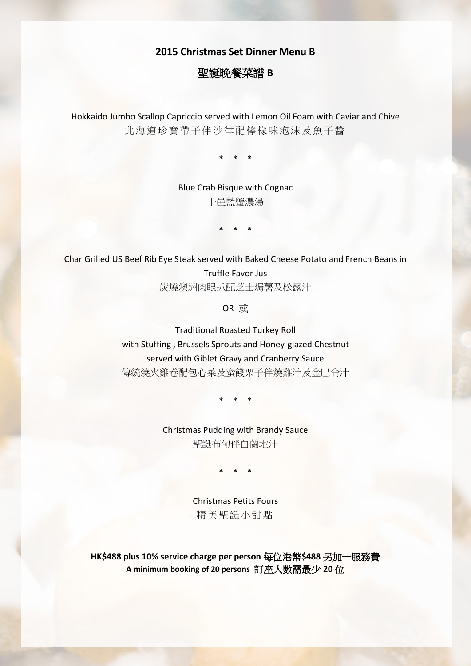# **2015 Christmas Set Dinner Menu B**

# 聖誕晚餐菜譜 **B**

Hokkaido Jumbo Scallop Capriccio served with Lemon Oil Foam with Caviar and Chive 北海道珍寶帶子伴沙律配檸檬味泡沫及魚子醬

\* \* \*

Blue Crab Bisque with Cognac 干邑藍蟹濃湯

\* \* \*

Char Grilled US Beef Rib Eye Steak served with Baked Cheese Potato and French Beans in Truffle Favor Jus 炭燒澳洲肉眼扒配芝士焗薯及松露汁

OR 或

Traditional Roasted Turkey Roll with Stuffing , Brussels Sprouts and Honey-glazed Chestnut served with Giblet Gravy and Cranberry Sauce 傳統燒火雞卷配包心菜及蜜餞栗子伴燒雞汁及金巴侖汁

\* \* \*

Christmas Pudding with Brandy Sauce 聖誔布甸伴白蘭地汁

\* \* \*

Christmas Petits Fours 精美聖誔小甜點

**HK\$488 plus 10% service charge per person** 每位港幣**\$488** 另加一服務費 **A minimum booking of 20 persons** 訂座人數需最少 **20** 位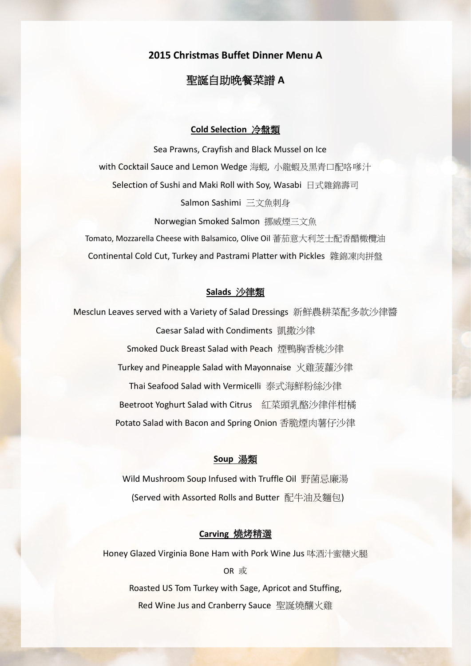# **2015 Christmas Buffet Dinner Menu A**

# 聖誕自助晚餐菜譜 **A**

### **Cold Selection** 冷盤類

Sea Prawns, Crayfish and Black Mussel on Ice with Cocktail Sauce and Lemon Wedge 海蝦, 小龍蝦及黑青口配咯嗲汁 Selection of Sushi and Maki Roll with Soy, Wasabi 日式雜錦壽司 Salmon Sashimi 三文魚刺身

Norwegian Smoked Salmon 挪威煙三文魚 Tomato, Mozzarella Cheese with Balsamico, Olive Oil 蕃茄意大利芝士配香醋橄欖油 Continental Cold Cut, Turkey and Pastrami Platter with Pickles 雜錦凍肉拼盤

### **Salads** 沙律類

Mesclun Leaves served with a Variety of Salad Dressings 新鮮農耕菜配多款沙律醬 Caesar Salad with Condiments 凱撒沙律 Smoked Duck Breast Salad with Peach 煙鴨胸香桃沙律 Turkey and Pineapple Salad with Mayonnaise 火雞菠蘿沙律 Thai Seafood Salad with Vermicelli 泰式海鮮粉絲沙律 Beetroot Yoghurt Salad with Citrus 紅菜頭乳酪沙律伴柑橘 Potato Salad with Bacon and Spring Onion 香脆煙肉薯仔沙律

### **Soup** 湯類

Wild Mushroom Soup Infused with Truffle Oil 野菌忌廉湯 (Served with Assorted Rolls and Butter 配牛油及麵包)

#### **Carving** 燒烤精選

Honey Glazed Virginia Bone Ham with Pork Wine Jus 呠酒汁蜜糖火腿 OR 或 Roasted US Tom Turkey with Sage, Apricot and Stuffing, Red Wine Jus and Cranberry Sauce 聖誕燒釀火雞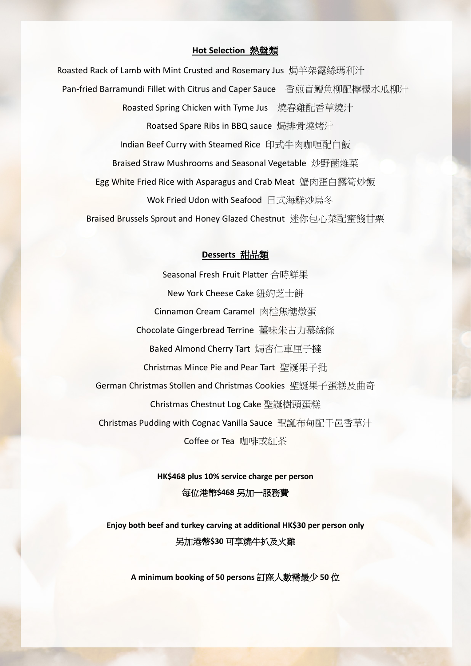# **Hot Selection** 熱盤類

Roasted Rack of Lamb with Mint Crusted and Rosemary Jus 焗羊架露絲瑪利汁 Pan-fried Barramundi Fillet with Citrus and Caper Sauce 香煎盲鰽魚柳配檸檬水瓜柳汁 Roasted Spring Chicken with Tyme Jus 燒春雞配香草燒汁 Roatsed Spare Ribs in BBQ sauce 焗排骨燒烤汁 Indian Beef Curry with Steamed Rice 印式牛肉咖喱配白飯 Braised Straw Mushrooms and Seasonal Vegetable 炒野菌雜菜 Egg White Fried Rice with Asparagus and Crab Meat 蟹肉蛋白露筍炒飯 Wok Fried Udon with Seafood 日式海鮮炒烏冬 Braised Brussels Sprout and Honey Glazed Chestnut 迷你包心菜配蜜餞甘栗

#### **Desserts** 甜品類

Seasonal Fresh Fruit Platter 合時鮮果 New York Cheese Cake 紐約芝士餅 Cinnamon Cream Caramel 肉桂焦糖燉蛋 Chocolate Gingerbread Terrine 薑味朱古力慕絲條 Baked Almond Cherry Tart 焗杏仁車厘子撻 Christmas Mince Pie and Pear Tart 聖誕果子批 German Christmas Stollen and Christmas Cookies 聖誕果子蛋糕及曲奇 Christmas Chestnut Log Cake 聖誕樹頭蛋糕 Christmas Pudding with Cognac Vanilla Sauce 聖誕布甸配干邑香草汁 Coffee or Tea 咖啡或紅茶

> **HK\$468 plus 10% service charge per person** 每位港幣**\$468** 另加一服務費

**Enjoy both beef and turkey carving at additional HK\$30 per person only** 另加港幣**\$30** 可享燒牛扒及火雞

**A minimum booking of 50 persons** 訂座人數需最少 **50** 位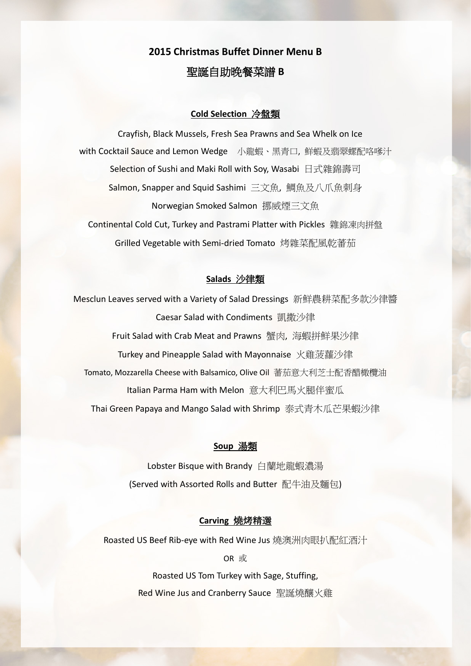# **2015 Christmas Buffet Dinner Menu B** 聖誕自助晚餐菜譜 **B**

## **Cold Selection** 冷盤類

Crayfish, Black Mussels, Fresh Sea Prawns and Sea Whelk on Ice with Cocktail Sauce and Lemon Wedge 小龍蝦、黑青口, 鮮蝦及翡翠螺配咯嗲汁 Selection of Sushi and Maki Roll with Soy, Wasabi 日式雜錦壽司 Salmon, Snapper and Squid Sashimi 三文魚, 鯛魚及八爪魚刺身 Norwegian Smoked Salmon 挪威煙三文魚 Continental Cold Cut, Turkey and Pastrami Platter with Pickles 雜錦凍肉拼盤 Grilled Vegetable with Semi-dried Tomato 烤雜菜配風乾蕃茄

## **Salads** 沙律類

Mesclun Leaves served with a Variety of Salad Dressings 新鮮農耕菜配多款沙律醬 Caesar Salad with Condiments 凱撒沙律 Fruit Salad with Crab Meat and Prawns 蟹肉, 海蝦拼鮮果沙律 Turkey and Pineapple Salad with Mayonnaise 火雞菠蘿沙律 Tomato, Mozzarella Cheese with Balsamico, Olive Oil 蕃茄意大利芝士配香醋橄欖油 Italian Parma Ham with Melon 意大利巴馬火腿伴蜜瓜 Thai Green Papaya and Mango Salad with Shrimp 泰式青木瓜芒果蝦沙律

### **Soup** 湯類

Lobster Bisque with Brandy 白蘭地龍蝦濃湯 (Served with Assorted Rolls and Butter 配牛油及麵包)

## **Carving** 燒烤精選

Roasted US Beef Rib-eye with Red Wine Jus 燒澳洲肉眼扒配紅酒汁

OR 或

Roasted US Tom Turkey with Sage, Stuffing, Red Wine Jus and Cranberry Sauce 聖誕燒釀火雞